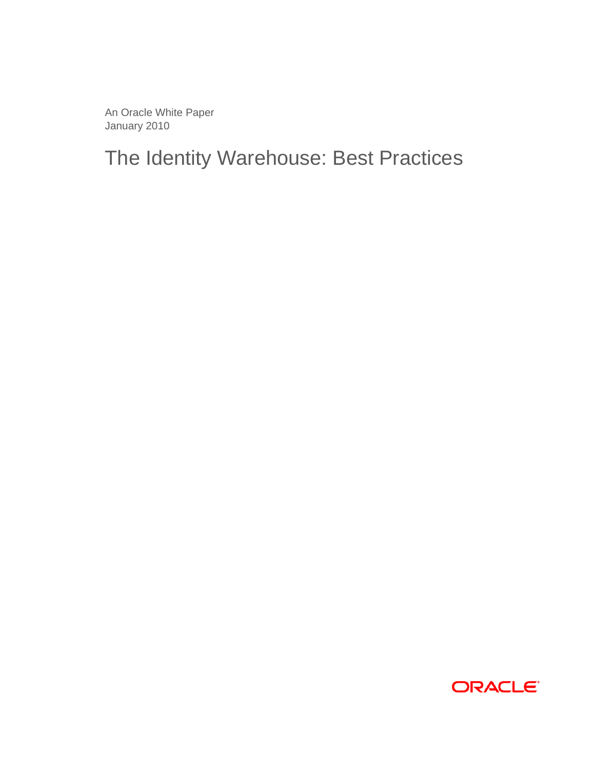An Oracle White Paper January 2010

The Identity Warehouse: Best Practices

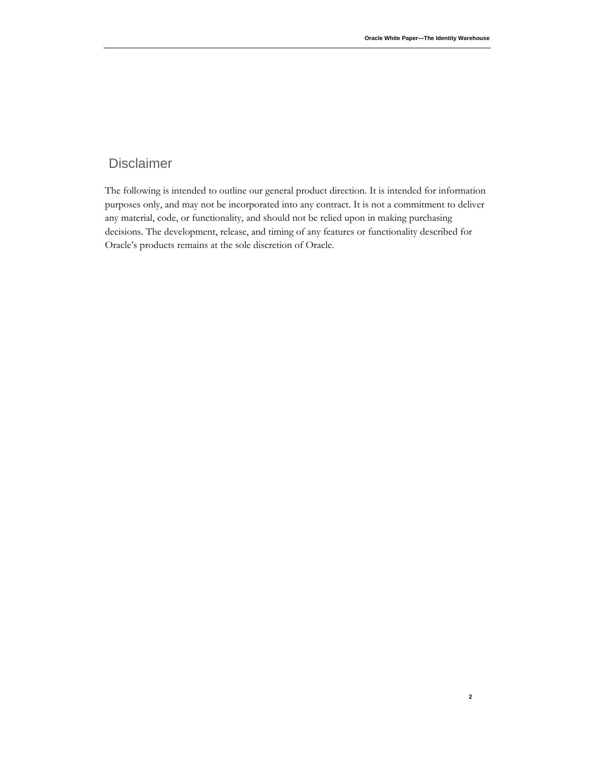#### Disclaimer

The following is intended to outline our general product direction. It is intended for information purposes only, and may not be incorporated into any contract. It is not a commitment to deliver any material, code, or functionality, and should not be relied upon in making purchasing decisions. The development, release, and timing of any features or functionality described for Oracle's products remains at the sole discretion of Oracle.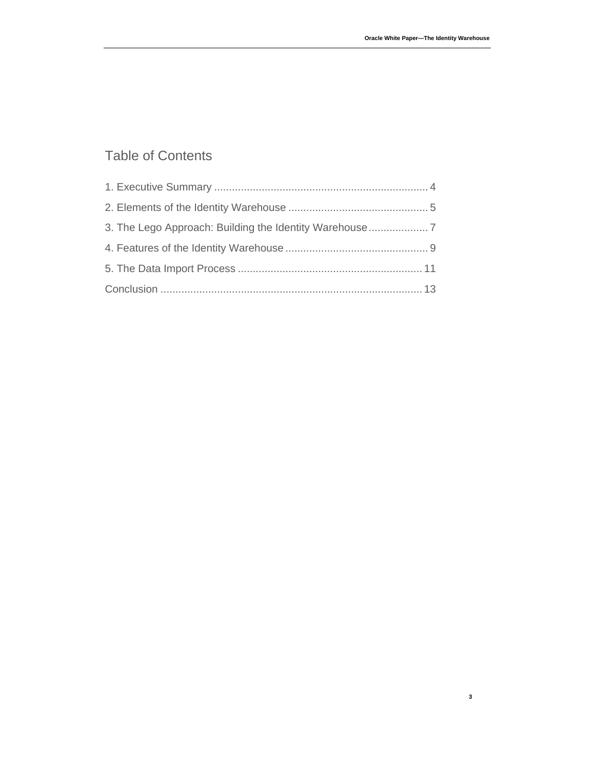### Table of Contents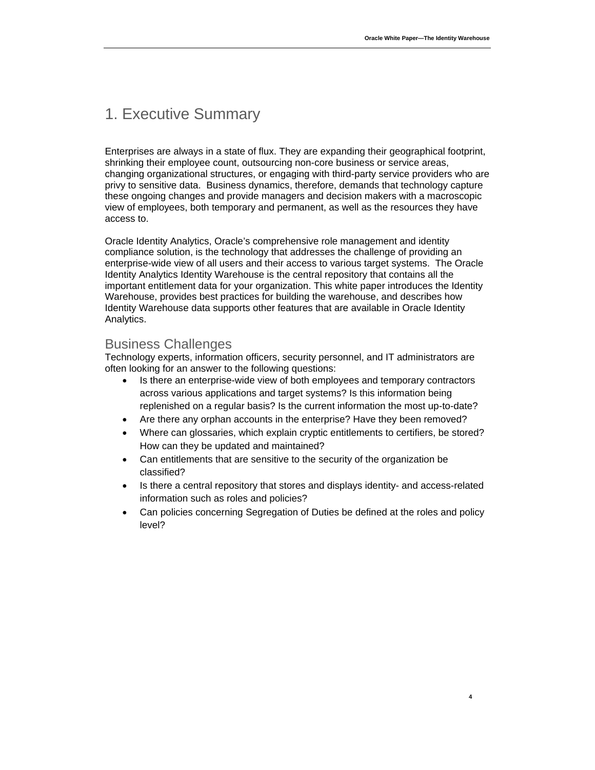# 1. Executive Summary

Enterprises are always in a state of flux. They are expanding their geographical footprint, shrinking their employee count, outsourcing non-core business or service areas, changing organizational structures, or engaging with third-party service providers who are privy to sensitive data. Business dynamics, therefore, demands that technology capture these ongoing changes and provide managers and decision makers with a macroscopic view of employees, both temporary and permanent, as well as the resources they have access to.

Oracle Identity Analytics, Oracle's comprehensive role management and identity compliance solution, is the technology that addresses the challenge of providing an enterprise-wide view of all users and their access to various target systems. The Oracle Identity Analytics Identity Warehouse is the central repository that contains all the important entitlement data for your organization. This white paper introduces the Identity Warehouse, provides best practices for building the warehouse, and describes how Identity Warehouse data supports other features that are available in Oracle Identity Analytics.

#### Business Challenges

Technology experts, information officers, security personnel, and IT administrators are often looking for an answer to the following questions:

- Is there an enterprise-wide view of both employees and temporary contractors across various applications and target systems? Is this information being replenished on a regular basis? Is the current information the most up-to-date?
- Are there any orphan accounts in the enterprise? Have they been removed?
- Where can glossaries, which explain cryptic entitlements to certifiers, be stored? How can they be updated and maintained?
- Can entitlements that are sensitive to the security of the organization be classified?
- Is there a central repository that stores and displays identity- and access-related information such as roles and policies?
- Can policies concerning Segregation of Duties be defined at the roles and policy level?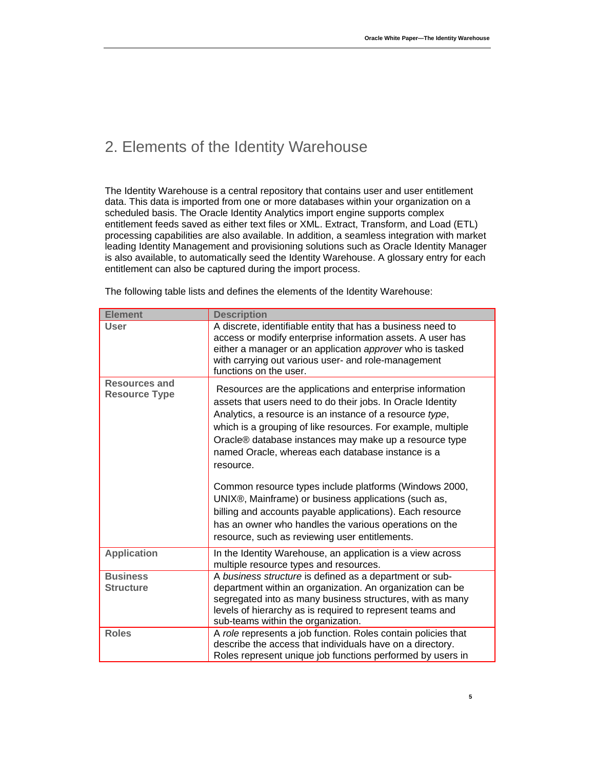## 2. Elements of the Identity Warehouse

The Identity Warehouse is a central repository that contains user and user entitlement data. This data is imported from one or more databases within your organization on a scheduled basis. The Oracle Identity Analytics import engine supports complex entitlement feeds saved as either text files or XML. Extract, Transform, and Load (ETL) processing capabilities are also available. In addition, a seamless integration with market leading Identity Management and provisioning solutions such as Oracle Identity Manager is also available, to automatically seed the Identity Warehouse. A glossary entry for each entitlement can also be captured during the import process.

| <b>Element</b>                               | <b>Description</b>                                                                                                                                                                                                                                                                                                                                                                                                                                                                                                                                                                                                                                                          |
|----------------------------------------------|-----------------------------------------------------------------------------------------------------------------------------------------------------------------------------------------------------------------------------------------------------------------------------------------------------------------------------------------------------------------------------------------------------------------------------------------------------------------------------------------------------------------------------------------------------------------------------------------------------------------------------------------------------------------------------|
| <b>User</b>                                  | A discrete, identifiable entity that has a business need to<br>access or modify enterprise information assets. A user has<br>either a manager or an application approver who is tasked<br>with carrying out various user- and role-management<br>functions on the user.                                                                                                                                                                                                                                                                                                                                                                                                     |
| <b>Resources and</b><br><b>Resource Type</b> | Resources are the applications and enterprise information<br>assets that users need to do their jobs. In Oracle Identity<br>Analytics, a resource is an instance of a resource type,<br>which is a grouping of like resources. For example, multiple<br>Oracle® database instances may make up a resource type<br>named Oracle, whereas each database instance is a<br>resource.<br>Common resource types include platforms (Windows 2000,<br>UNIX®, Mainframe) or business applications (such as,<br>billing and accounts payable applications). Each resource<br>has an owner who handles the various operations on the<br>resource, such as reviewing user entitlements. |
| <b>Application</b>                           | In the Identity Warehouse, an application is a view across<br>multiple resource types and resources.                                                                                                                                                                                                                                                                                                                                                                                                                                                                                                                                                                        |
| <b>Business</b><br><b>Structure</b>          | A business structure is defined as a department or sub-<br>department within an organization. An organization can be<br>segregated into as many business structures, with as many<br>levels of hierarchy as is required to represent teams and<br>sub-teams within the organization.                                                                                                                                                                                                                                                                                                                                                                                        |
| <b>Roles</b>                                 | A role represents a job function. Roles contain policies that<br>describe the access that individuals have on a directory.<br>Roles represent unique job functions performed by users in                                                                                                                                                                                                                                                                                                                                                                                                                                                                                    |

The following table lists and defines the elements of the Identity Warehouse: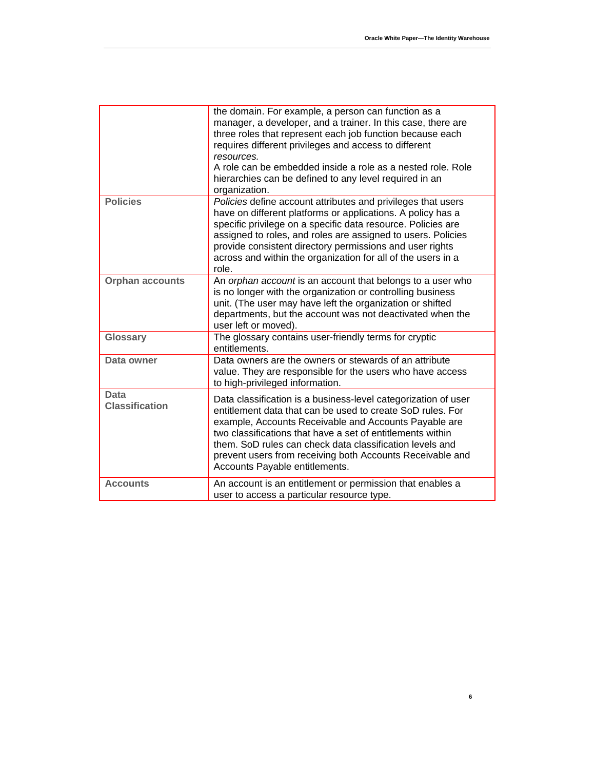|                                      | the domain. For example, a person can function as a<br>manager, a developer, and a trainer. In this case, there are<br>three roles that represent each job function because each<br>requires different privileges and access to different<br>resources.<br>A role can be embedded inside a role as a nested role. Role<br>hierarchies can be defined to any level required in an<br>organization.              |
|--------------------------------------|----------------------------------------------------------------------------------------------------------------------------------------------------------------------------------------------------------------------------------------------------------------------------------------------------------------------------------------------------------------------------------------------------------------|
| <b>Policies</b>                      | Policies define account attributes and privileges that users<br>have on different platforms or applications. A policy has a<br>specific privilege on a specific data resource. Policies are<br>assigned to roles, and roles are assigned to users. Policies<br>provide consistent directory permissions and user rights<br>across and within the organization for all of the users in a<br>role.               |
| <b>Orphan accounts</b>               | An orphan account is an account that belongs to a user who<br>is no longer with the organization or controlling business<br>unit. (The user may have left the organization or shifted<br>departments, but the account was not deactivated when the<br>user left or moved).                                                                                                                                     |
| Glossary                             | The glossary contains user-friendly terms for cryptic<br>entitlements.                                                                                                                                                                                                                                                                                                                                         |
| Data owner                           | Data owners are the owners or stewards of an attribute<br>value. They are responsible for the users who have access<br>to high-privileged information.                                                                                                                                                                                                                                                         |
| <b>Data</b><br><b>Classification</b> | Data classification is a business-level categorization of user<br>entitlement data that can be used to create SoD rules. For<br>example, Accounts Receivable and Accounts Payable are<br>two classifications that have a set of entitlements within<br>them. SoD rules can check data classification levels and<br>prevent users from receiving both Accounts Receivable and<br>Accounts Payable entitlements. |
| <b>Accounts</b>                      | An account is an entitlement or permission that enables a<br>user to access a particular resource type.                                                                                                                                                                                                                                                                                                        |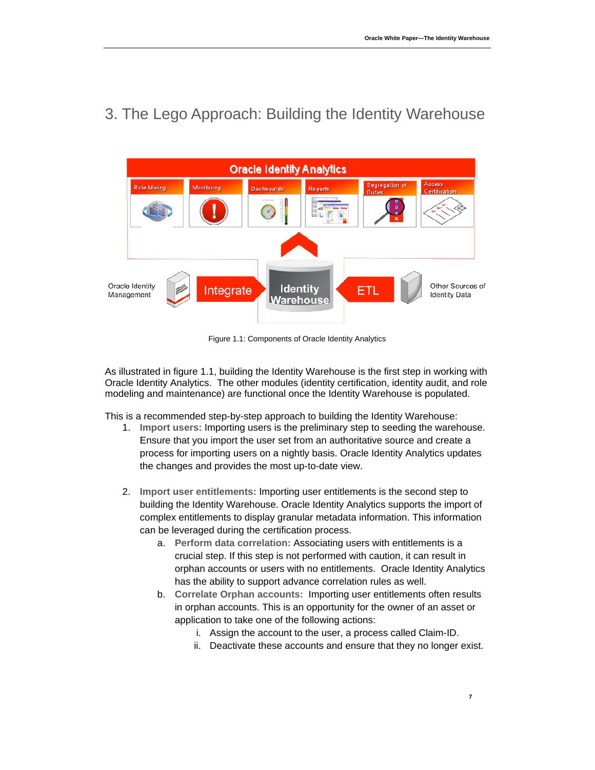

3. The Lego Approach: Building the Identity Warehouse

Figure 1.1: Components of Oracle Identity Analytics

As illustrated in figure 1.1, building the Identity Warehouse is the first step in working with Oracle Identity Analytics. The other modules (identity certification, identity audit, and role modeling and maintenance) are functional once the Identity Warehouse is populated.

This is a recommended step-by-step approach to building the Identity Warehouse:

- 1. **Import users:** Importing users is the preliminary step to seeding the warehouse. Ensure that you import the user set from an authoritative source and create a process for importing users on a nightly basis. Oracle Identity Analytics updates the changes and provides the most up-to-date view.
- 2. **Import user entitlements:** Importing user entitlements is the second step to building the Identity Warehouse. Oracle Identity Analytics supports the import of complex entitlements to display granular metadata information. This information can be leveraged during the certification process.
	- a. **Perform data correlation:** Associating users with entitlements is a crucial step. If this step is not performed with caution, it can result in orphan accounts or users with no entitlements. Oracle Identity Analytics has the ability to support advance correlation rules as well.
	- b. **Correlate Orphan accounts:** Importing user entitlements often results in orphan accounts. This is an opportunity for the owner of an asset or application to take one of the following actions:
		- i. Assign the account to the user, a process called Claim-ID.
		- ii. Deactivate these accounts and ensure that they no longer exist.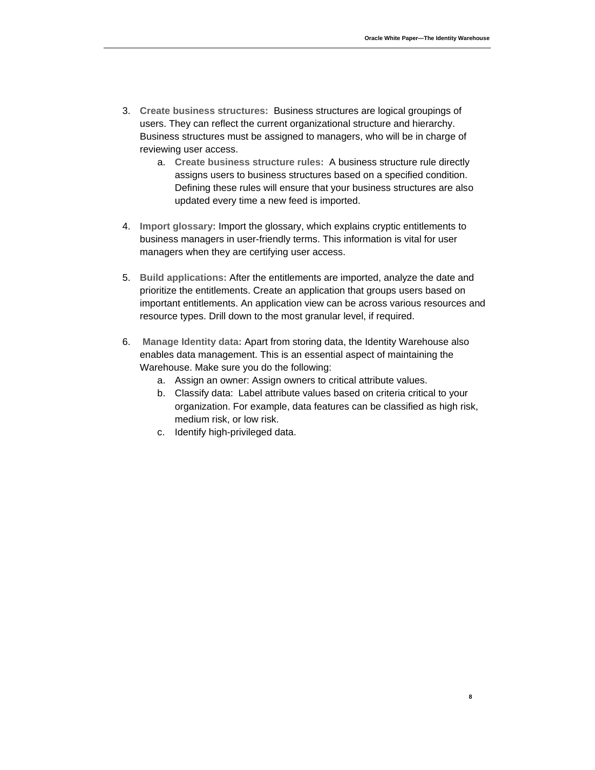- 3. **Create business structures:** Business structures are logical groupings of users. They can reflect the current organizational structure and hierarchy. Business structures must be assigned to managers, who will be in charge of reviewing user access.
	- a. **Create business structure rules:** A business structure rule directly assigns users to business structures based on a specified condition. Defining these rules will ensure that your business structures are also updated every time a new feed is imported.
- 4. **Import glossary:** Import the glossary, which explains cryptic entitlements to business managers in user-friendly terms. This information is vital for user managers when they are certifying user access.
- 5. **Build applications:** After the entitlements are imported, analyze the date and prioritize the entitlements. Create an application that groups users based on important entitlements. An application view can be across various resources and resource types. Drill down to the most granular level, if required.
- 6. **Manage Identity data:** Apart from storing data, the Identity Warehouse also enables data management. This is an essential aspect of maintaining the Warehouse. Make sure you do the following:
	- a. Assign an owner: Assign owners to critical attribute values.
	- b. Classify data: Label attribute values based on criteria critical to your organization. For example, data features can be classified as high risk, medium risk, or low risk.
	- c. Identify high-privileged data.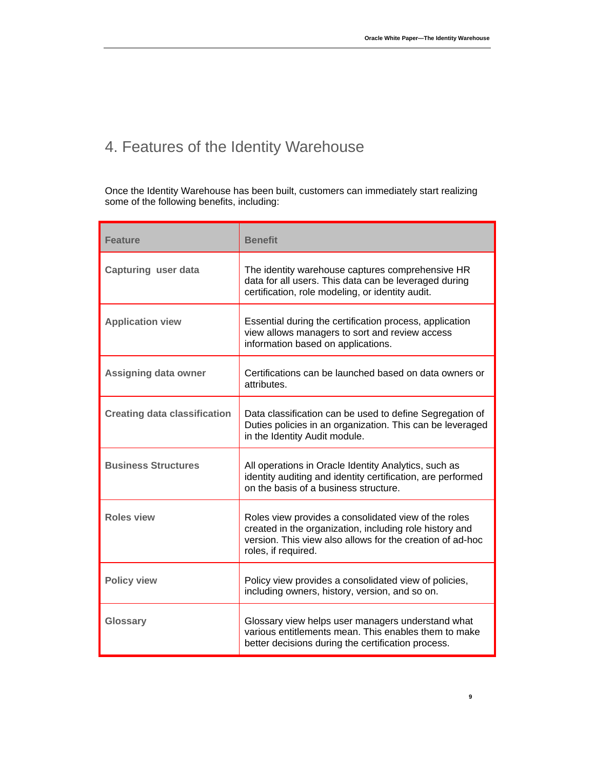# 4. Features of the Identity Warehouse

Once the Identity Warehouse has been built, customers can immediately start realizing some of the following benefits, including:

| <b>Feature</b>                      | <b>Benefit</b>                                                                                                                                                                                      |
|-------------------------------------|-----------------------------------------------------------------------------------------------------------------------------------------------------------------------------------------------------|
| <b>Capturing user data</b>          | The identity warehouse captures comprehensive HR<br>data for all users. This data can be leveraged during<br>certification, role modeling, or identity audit.                                       |
| <b>Application view</b>             | Essential during the certification process, application<br>view allows managers to sort and review access<br>information based on applications.                                                     |
| Assigning data owner                | Certifications can be launched based on data owners or<br>attributes.                                                                                                                               |
| <b>Creating data classification</b> | Data classification can be used to define Segregation of<br>Duties policies in an organization. This can be leveraged<br>in the Identity Audit module.                                              |
| <b>Business Structures</b>          | All operations in Oracle Identity Analytics, such as<br>identity auditing and identity certification, are performed<br>on the basis of a business structure.                                        |
| <b>Roles view</b>                   | Roles view provides a consolidated view of the roles<br>created in the organization, including role history and<br>version. This view also allows for the creation of ad-hoc<br>roles, if required. |
| <b>Policy view</b>                  | Policy view provides a consolidated view of policies,<br>including owners, history, version, and so on.                                                                                             |
| <b>Glossary</b>                     | Glossary view helps user managers understand what<br>various entitlements mean. This enables them to make<br>better decisions during the certification process.                                     |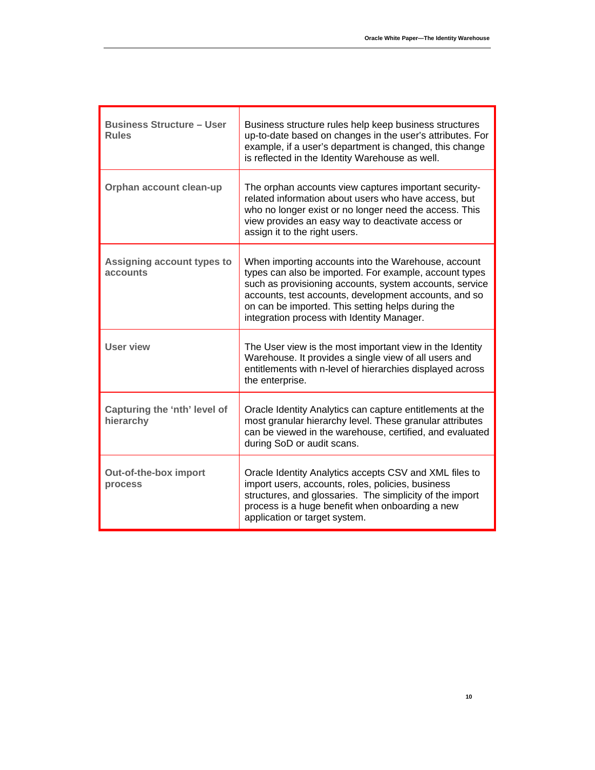| <b>Business Structure - User</b><br><b>Rules</b> | Business structure rules help keep business structures<br>up-to-date based on changes in the user's attributes. For<br>example, if a user's department is changed, this change<br>is reflected in the Identity Warehouse as well.                                                                                                    |
|--------------------------------------------------|--------------------------------------------------------------------------------------------------------------------------------------------------------------------------------------------------------------------------------------------------------------------------------------------------------------------------------------|
| Orphan account clean-up                          | The orphan accounts view captures important security-<br>related information about users who have access, but<br>who no longer exist or no longer need the access. This<br>view provides an easy way to deactivate access or<br>assign it to the right users.                                                                        |
| Assigning account types to<br>accounts           | When importing accounts into the Warehouse, account<br>types can also be imported. For example, account types<br>such as provisioning accounts, system accounts, service<br>accounts, test accounts, development accounts, and so<br>on can be imported. This setting helps during the<br>integration process with Identity Manager. |
| User view                                        | The User view is the most important view in the Identity<br>Warehouse. It provides a single view of all users and<br>entitlements with n-level of hierarchies displayed across<br>the enterprise.                                                                                                                                    |
| Capturing the 'nth' level of<br>hierarchy        | Oracle Identity Analytics can capture entitlements at the<br>most granular hierarchy level. These granular attributes<br>can be viewed in the warehouse, certified, and evaluated<br>during SoD or audit scans.                                                                                                                      |
| Out-of-the-box import<br>process                 | Oracle Identity Analytics accepts CSV and XML files to<br>import users, accounts, roles, policies, business<br>structures, and glossaries. The simplicity of the import<br>process is a huge benefit when onboarding a new<br>application or target system.                                                                          |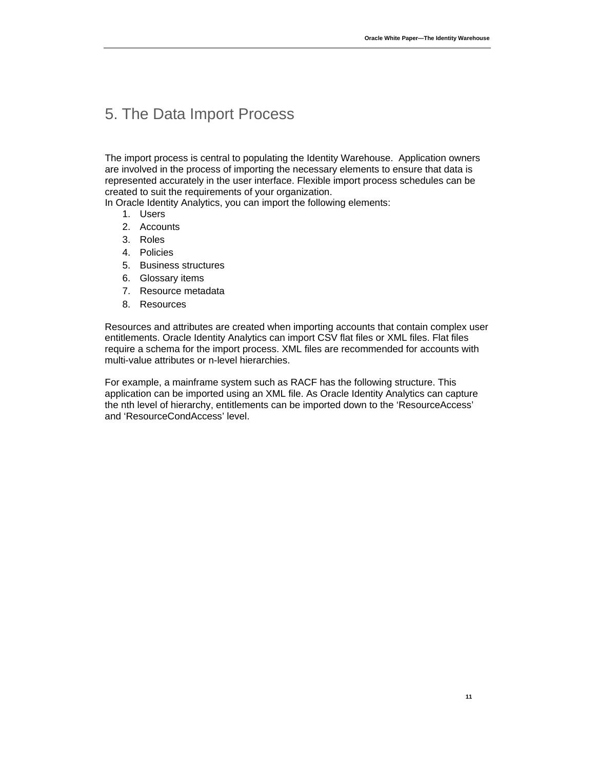### 5. The Data Import Process

The import process is central to populating the Identity Warehouse. Application owners are involved in the process of importing the necessary elements to ensure that data is represented accurately in the user interface. Flexible import process schedules can be created to suit the requirements of your organization.

In Oracle Identity Analytics, you can import the following elements:

- 1. Users
- 2. Accounts
- 3. Roles
- 4. Policies
- 5. Business structures
- 6. Glossary items
- 7. Resource metadata
- 8. Resources

Resources and attributes are created when importing accounts that contain complex user entitlements. Oracle Identity Analytics can import CSV flat files or XML files. Flat files require a schema for the import process. XML files are recommended for accounts with multi-value attributes or n-level hierarchies.

For example, a mainframe system such as RACF has the following structure. This application can be imported using an XML file. As Oracle Identity Analytics can capture the nth level of hierarchy, entitlements can be imported down to the 'ResourceAccess' and 'ResourceCondAccess' level.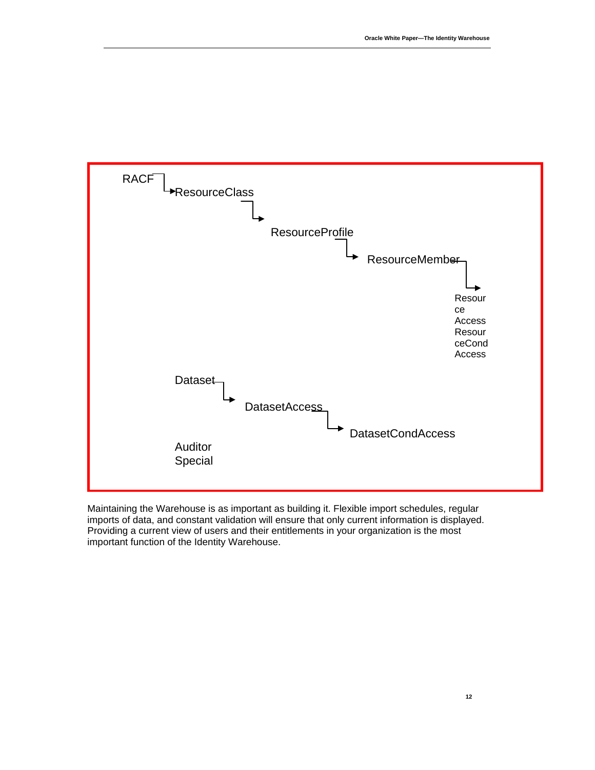

Maintaining the Warehouse is as important as building it. Flexible import schedules, regular imports of data, and constant validation will ensure that only current information is displayed. Providing a current view of users and their entitlements in your organization is the most important function of the Identity Warehouse.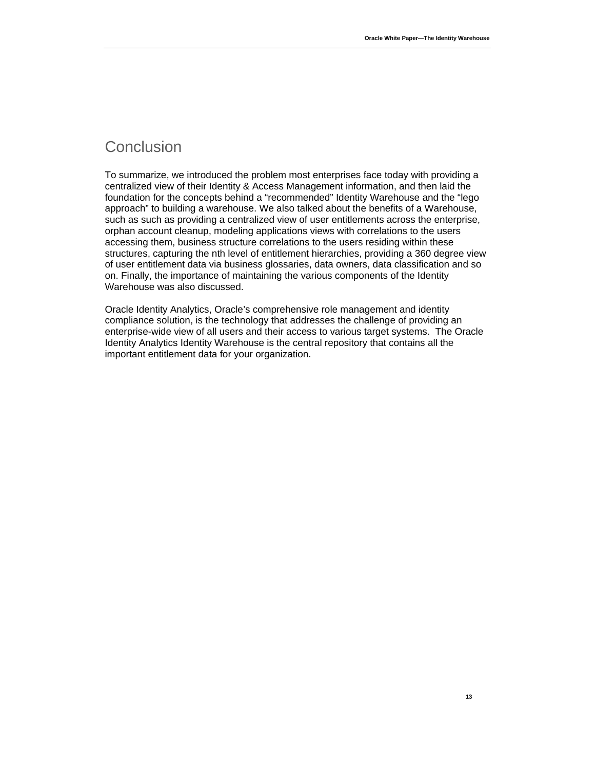## Conclusion

To summarize, we introduced the problem most enterprises face today with providing a centralized view of their Identity & Access Management information, and then laid the foundation for the concepts behind a "recommended" Identity Warehouse and the "lego approach" to building a warehouse. We also talked about the benefits of a Warehouse, such as such as providing a centralized view of user entitlements across the enterprise, orphan account cleanup, modeling applications views with correlations to the users accessing them, business structure correlations to the users residing within these structures, capturing the nth level of entitlement hierarchies, providing a 360 degree view of user entitlement data via business glossaries, data owners, data classification and so on. Finally, the importance of maintaining the various components of the Identity Warehouse was also discussed.

Oracle Identity Analytics, Oracle's comprehensive role management and identity compliance solution, is the technology that addresses the challenge of providing an enterprise-wide view of all users and their access to various target systems. The Oracle Identity Analytics Identity Warehouse is the central repository that contains all the important entitlement data for your organization.